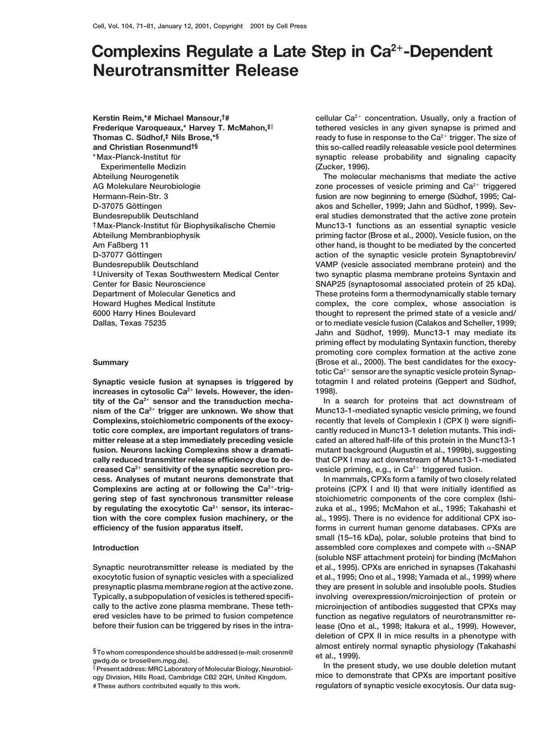# **Complexins Regulate a Late Step in Ca2**1**-Dependent Neurotransmitter Release**

**Kerstin Reim,\*# Michael Mansour,†# Frederique Varoqueaux,\* Harvey T. McMahon,‡**<sup>k</sup> **Thomas C. Südhof,<sup>‡</sup> Nils Brose,\*§ Experimentelle Medizin (Zucker, 1996). Abteilung Neurogenetik The molecular mechanisms that mediate the active**

increases in cytosolic Ca<sup>2+</sup> levels. However, the iden- 1998). tity of the Ca<sup>2+</sup> sensor and the transduction mecha-<br> **10** a search for proteins that act downstream of **nism of the Ca**<sup>2+</sup> **trigger are unknown. We show that** Munc13-1-mediated synaptic vesicle priming, we found **Complexins, stoichiometric components of the exocy- recently that levels of Complexin I (CPX I) were signifitotic core complex, are important regulators of trans- cantly reduced in Munc13-1 deletion mutants. This indimitter release at a step immediately preceding vesicle cated an altered half-life of this protein in the Munc13-1 fusion. Neurons lacking Complexins show a dramati- mutant background (Augustin et al., 1999b), suggesting cally reduced transmitter release efficiency due to de- that CPX I may act downstream of Munc13-1-mediated creased Ca**<sup>2+</sup> **sensitivity of the synaptic secretion pro-** vesicle priming, e.g., in Ca<sup>2+</sup> triggered fusion. **cess. Analyses of mutant neurons demonstrate that In mammals, CPXs form a family of two closely related Complexins are acting at or following the Ca<sup>2+</sup>-trig-** proteins (CPX I and II) that were initially identified as **gering step of fast synchronous transmitter release stoichiometric components of the core complex (Ishiby regulating the exocytotic Ca**<sup>2+</sup> sensor, its interac-<br>
zuka et al., 1995; McMahon et al., 1995; Takahashi et **tion with the core complex fusion machinery, or the al., 1995). There is no evidence for additional CPX isoefficiency of the fusion apparatus itself. forms in current human genome databases. CPXs are**

**cellular Ca2**<sup>1</sup> **concentration. Usually, only a fraction of tethered vesicles in any given synapse is primed and** ready to fuse in response to the Ca<sup>2+</sup> trigger. The size of **and Christian Rosenmund†§ this so-called readily releasable vesicle pool determines \*Max-Planck-Institut fu¨r synaptic release probability and signaling capacity**

AG Molekulare Neurobiologie *AG Molekulare Neurobiologie n temming and Ca<sup>2+</sup> triggered* **Hermann-Rein-Str. 3** *a* **<b>***fusion are now beginning to emerge (Südhof, 1995; Cal-***D-37075 Göttingen** akos and Scheller, 1999; Jahn and Südhof, 1999). Sev-**Bundesrepublik Deutschland eral studies demonstrated that the active zone protein †Max-Planck-Institut fu¨r Biophysikalische Chemie Munc13-1 functions as an essential synaptic vesicle Abteilung Membranbiophysik priming factor (Brose et al., 2000). Vesicle fusion, on the Am Faßberg 11 other hand, is thought to be mediated by the concerted D-37077 Göttingen action of the synaptic vesicle protein Synaptobrevin/ Bundesrepublik Deutschland VAMP (vesicle associated membrane protein) and the ‡University of Texas Southwestern Medical Center two synaptic plasma membrane proteins Syntaxin and Center for Basic Neuroscience SNAP25 (synaptosomal associated protein of 25 kDa). Department of Molecular Genetics and These proteins form a thermodynamically stable ternary Howard Hughes Medical Institute complex, the core complex, whose association is 6000 Harry Hines Boulevard thought to represent the primed state of a vesicle and/ Dallas, Texas 75235 or to mediate vesicle fusion (Calakos and Scheller, 1999;** Jahn and Südhof, 1999). Munc13-1 may mediate its **priming effect by modulating Syntaxin function, thereby promoting core complex formation at the active zone Summary (Brose et al., 2000). The best candidates for the exocytotic Ca2**<sup>1</sup> **sensor are the synaptic vesicle protein Synap-Synaptic vesicle fusion at synapses is triggered by totagmin I and related proteins (Geppert and Südhof,** 

**small (15–16 kDa), polar, soluble proteins that bind to Introduction assembled core complexes and compete with** a**-SNAP (soluble NSF attachment protein) for binding (McMahon Synaptic neurotransmitter release is mediated by the et al., 1995). CPXs are enriched in synapses (Takahashi exocytotic fusion of synaptic vesicles with a specialized et al., 1995; Ono et al., 1998; Yamada et al., 1999) where presynaptic plasma membrane region at the active zone. they are present in soluble and insoluble pools. Studies Typically, a subpopulation of vesicles is tethered specifi- involving overexpression/microinjection of protein or cally to the active zone plasma membrane. These teth- microinjection of antibodies suggested that CPXs may ered vesicles have to be primed to fusion competence function as negative regulators of neurotransmitter rebefore their fusion can be triggered by rises in the intra- lease (Ono et al., 1998; Itakura et al., 1999). However, deletion of CPX II in mice results in a phenotype with almost entirely normal synaptic physiology (Takahashi §To whom correspondence should be addressed (e-mail: crosenm@ et al., 1999). gwdg.de or brose@em.mpg.de).**

In the present study, we use double deletion mutant<br> **Present address: MRC Laboratory of Molecular Biology, Neurobiol-**<br> **Price to demonstrate that CPXs are important positive**<br> **Price to demonstrate that CPXs are importan # These authors contributed equally to this work. regulators of synaptic vesicle exocytosis. Our data sug-**

ogy Division, Hills Road, Cambridge CB2 2QH, United Kingdom.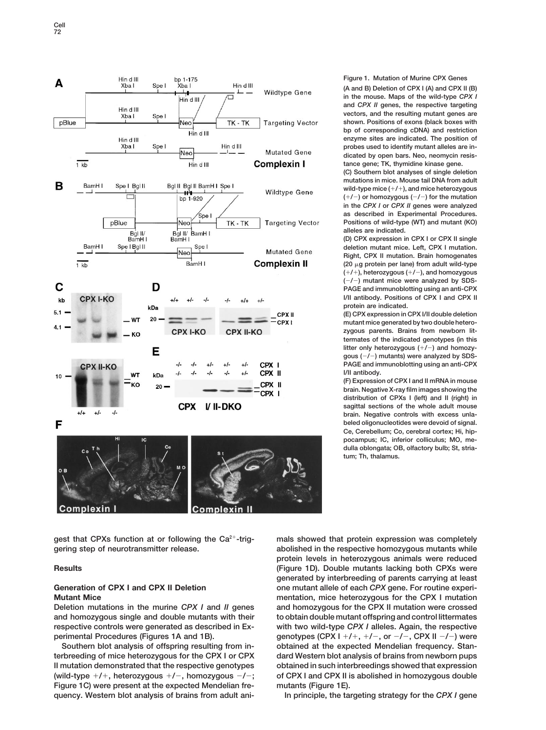

**and homozygous single and double mutants with their to obtain double mutant offspring and control littermates respective controls were generated as described in Ex- with two wild-type** *CPX I* **alleles. Again, the respective perimental Procedures (Figures 1A and 1B). genotypes (CPX I** 1**/**1**,** 1**/**2**, or** 2**/**2**, CPX II** 2**/**2**) were**

terbreeding of mice heterozygous for the CPX I or CPX dard Western blot analysis of brains from newborn pups **II mutation demonstrated that the respective genotypes obtained in such interbreedings showed that expression (wild-type** 1**/**1**, heterozygous** 1**/**2**, homozygous** 2**/**2**; of CPX I and CPX II is abolished in homozygous double Figure 1C) were present at the expected Mendelian fre- mutants (Figure 1E). quency. Western blot analysis of brains from adult ani- In principle, the targeting strategy for the** *CPX I* **gene**

**Figure 1. Mutation of Murine CPX Genes (A and B) Deletion of CPX I (A) and CPX II (B) in the mouse. Maps of the wild-type** *CPX I* **and** *CPX II* **genes, the respective targeting vectors, and the resulting mutant genes are shown. Positions of exons (black boxes with bp of corresponding cDNA) and restriction enzyme sites are indicated. The position of probes used to identify mutant alleles are indicated by open bars. Neo, neomycin resistance gene; TK, thymidine kinase gene.**

**(C) Southern blot analyses of single deletion mutations in mice. Mouse tail DNA from adult wild-type mice (**1**/**1**), and mice heterozygous (**1**/**2**) or homozygous (**2**/**2**) for the mutation in the** *CPX I* **or** *CPX II* **genes were analyzed as described in Experimental Procedures. Positions of wild-type (WT) and mutant (KO) alleles are indicated.**

**(D) CPX expression in CPX I or CPX II single deletion mutant mice. Left, CPX I mutation. Right, CPX II mutation. Brain homogenates (20** m**g protein per lane) from adult wild-type (**1**/**1**), heterozygous (**1**/**2**), and homozygous (**2**/**2**) mutant mice were analyzed by SDS-PAGE and immunoblotting using an anti-CPX I/II antibody. Positions of CPX I and CPX II protein are indicated.**

**(E) CPX expression in CPX I/II double deletion mutant mice generated by two double heterozygous parents. Brains from newborn littermates of the indicated genotypes (in this** litter only heterozygous (+/-) and homozy**gous (**2**/**2**) mutants) were analyzed by SDS-PAGE and immunoblotting using an anti-CPX I/II antibody.**

**(F) Expression of CPX I and II mRNA in mouse brain. Negative X-ray film images showing the distribution of CPXs I (left) and II (right) in sagittal sections of the whole adult mouse brain. Negative controls with excess unlabeled oligonucleotides were devoid of signal. Ce, Cerebellum; Co, cerebral cortex; Hi, hippocampus; IC, inferior colliculus; MO, medulla oblongata; OB, olfactory bulb; St, striatum; Th, thalamus.**

**gest that CPXs function at or following the Ca2**<sup>1</sup>**-trig- mals showed that protein expression was completely gering step of neurotransmitter release. abolished in the respective homozygous mutants while protein levels in heterozygous animals were reduced Results (Figure 1D). Double mutants lacking both CPXs were generated by interbreeding of parents carrying at least Generation of CPX I and CPX II Deletion one mutant allele of each** *CPX* **gene. For routine experi-Mutant Mice mentation, mice heterozygous for the CPX I mutation Deletion mutations in the murine** *CPX I* **and** *II* **genes and homozygous for the CPX II mutation were crossed Southern blot analysis of offspring resulting from in- obtained at the expected Mendelian frequency. Stan-**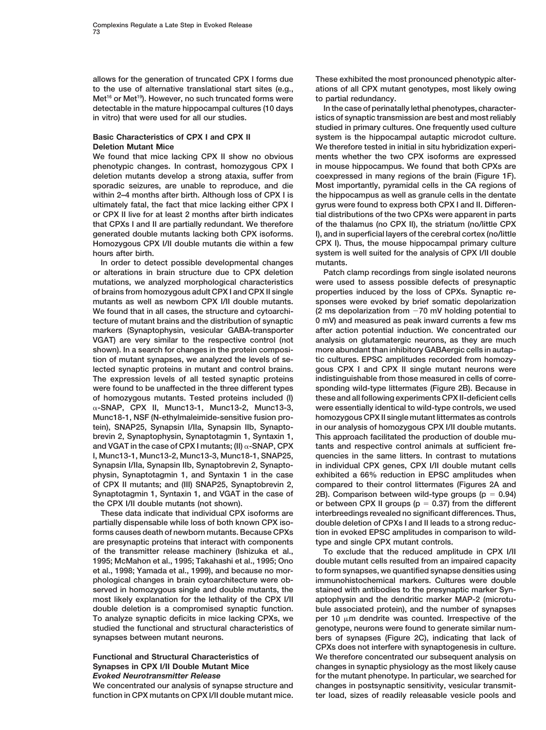**allows for the generation of truncated CPX I forms due These exhibited the most pronounced phenotypic alterto the use of alternative translational start sites (e.g., ations of all CPX mutant genotypes, most likely owing** Met<sup>16</sup> or Met<sup>19</sup>). However, no such truncated forms were to partial redundancy. **detectable in the mature hippocampal cultures (10 days In the case of perinatally lethal phenotypes, character**in vitro) that were used for all our studies. **in the state of synaptic transmission are best and most reliably** 

**We found that mice lacking CPX II show no obvious ments whether the two CPX isoforms are expressed phenotypic changes. In contrast, homozygous CPX I in mouse hippocampus. We found that both CPXs are deletion mutants develop a strong ataxia, suffer from coexpressed in many regions of the brain (Figure 1F). sporadic seizures, are unable to reproduce, and die Most importantly, pyramidal cells in the CA regions of within 2–4 months after birth. Although loss of CPX I is the hippocampus as well as granule cells in the dentate ultimately fatal, the fact that mice lacking either CPX I gyrus were found to express both CPX I and II. Differenor CPX II live for at least 2 months after birth indicates tial distributions of the two CPXs were apparent in parts that CPXs I and II are partially redundant. We therefore of the thalamus (no CPX II), the striatum (no/little CPX generated double mutants lacking both CPX isoforms. I), and in superficial layers of the cerebral cortex (no/little Homozygous CPX I/II double mutants die within a few CPX I). Thus, the mouse hippocampal primary culture hours after birth. system is well suited for the analysis of CPX I/II double**

**In order to detect possible developmental changes mutants. or alterations in brain structure due to CPX deletion Patch clamp recordings from single isolated neurons mutations, we analyzed morphological characteristics were used to assess possible defects of presynaptic of brains from homozygous adult CPX I and CPX II single properties induced by the loss of CPXs. Synaptic remutants as well as newborn CPX I/II double mutants. sponses were evoked by brief somatic depolarization We found that in all cases, the structure and cytoarchi- (2 ms depolarization from** 2**70 mV holding potential to tecture of mutant brains and the distribution of synaptic 0 mV) and measured as peak inward currents a few ms markers (Synaptophysin, vesicular GABA-transporter after action potential induction. We concentrated our VGAT) are very similar to the respective control (not analysis on glutamatergic neurons, as they are much shown). In a search for changes in the protein composi- more abundant than inhibitory GABAergic cells in autaption of mutant synapses, we analyzed the levels of se- tic cultures. EPSC amplitudes recorded from homozylected synaptic proteins in mutant and control brains. gous CPX I and CPX II single mutant neurons were The expression levels of all tested synaptic proteins indistinguishable from those measured in cells of correwere found to be unaffected in the three different types sponding wild-type littermates (Figure 2B). Because in of homozygous mutants. Tested proteins included (I) these and all following experiments CPX II-deficient cells** a**-SNAP, CPX II, Munc13-1, Munc13-2, Munc13-3, were essentially identical to wild-type controls, we used Munc18-1, NSF (N-ethylmaleimide-sensitive fusion pro- homozygous CPX II single mutant littermates as controls tein), SNAP25, Synapsin I/IIa, Synapsin IIb, Synapto- in our analysis of homozygous CPX I/II double mutants. brevin 2, Synaptophysin, Synaptotagmin 1, Syntaxin 1, This approach facilitated the production of double muand VGAT in the case of CPX I mutants; (II)** a**-SNAP, CPX tants and respective control animals at sufficient fre-I, Munc13-1, Munc13-2, Munc13-3, Munc18-1, SNAP25, quencies in the same litters. In contrast to mutations Synapsin I/IIa, Synapsin IIb, Synaptobrevin 2, Synapto- in individual CPX genes, CPX I/II double mutant cells physin, Synaptotagmin 1, and Syntaxin 1 in the case exhibited a 66% reduction in EPSC amplitudes when of CPX II mutants; and (III) SNAP25, Synaptobrevin 2, compared to their control littermates (Figures 2A and Synaptotagmin 1, Syntaxin 1, and VGAT in the case of 2B). Comparison between wild-type groups (p** 5 **0.94) the CPX I/II double mutants (not shown). or between CPX II groups (p** 5 **0.37) from the different**

**partially dispensable while loss of both known CPX iso- double deletion of CPXs I and II leads to a strong reducforms causes death of newborn mutants. Because CPXs tion in evoked EPSC amplitudes in comparison to wildare presynaptic proteins that interact with components type and single CPX mutant controls. of the transmitter release machinery (Ishizuka et al., To exclude that the reduced amplitude in CPX I/II 1995; McMahon et al., 1995; Takahashi et al., 1995; Ono double mutant cells resulted from an impaired capacity et al., 1998; Yamada et al., 1999), and because no mor- to form synapses, we quantified synapse densities using phological changes in brain cytoarchitecture were ob- immunohistochemical markers. Cultures were double served in homozygous single and double mutants, the stained with antibodies to the presynaptic marker Synmost likely explanation for the lethality of the CPX I/II aptophysin and the dendritic marker MAP-2 (microtudouble deletion is a compromised synaptic function. bule associated protein), and the number of synapses** To analyze synaptic deficits in mice lacking CPXs, we per 10  $\mu$ m dendrite was counted. Irrespective of the **studied the functional and structural characteristics of genotype, neurons were found to generate similar num-**

We concentrated our analysis of synapse structure and changes in postsynaptic sensitivity, vesicular transmit**function in CPX mutants on CPX I/II double mutant mice. ter load, sizes of readily releasable vesicle pools and**

**studied in primary cultures. One frequently used culture Basic Characteristics of CPX I and CPX II system is the hippocampal autaptic microdot culture. Deletion Mutant Mice We therefore tested in initial in situ hybridization experi-**

**These data indicate that individual CPX isoforms are interbreedings revealed no significant differences. Thus,**

**synapses between mutant neurons. bers of synapses (Figure 2C), indicating that lack of CPXs does not interfere with synaptogenesis in culture. Functional and Structural Characteristics of We therefore concentrated our subsequent analysis on Synapses in CPX I/II Double Mutant Mice changes in synaptic physiology as the most likely cause** *Evoked Neurotransmitter Release* **for the mutant phenotype. In particular, we searched for**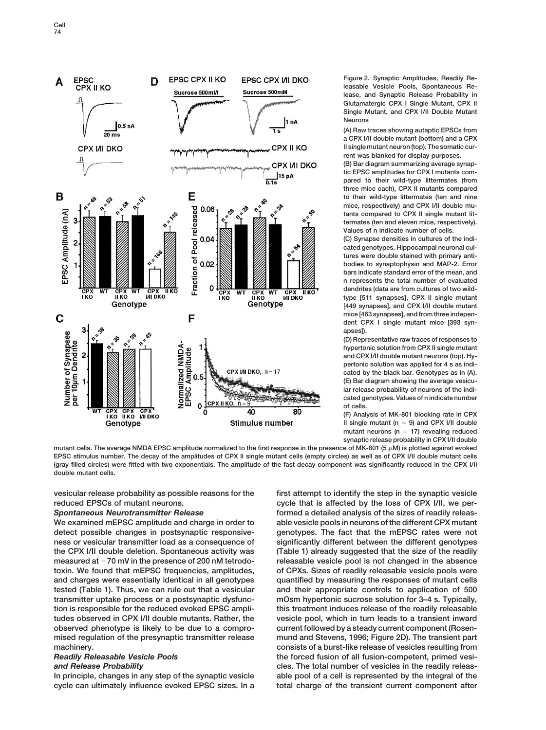

**Figure 2. Synaptic Amplitudes, Readily Releasable Vesicle Pools, Spontaneous Release, and Synaptic Release Probability in Glutamatergic CPX I Single Mutant, CPX II Single Mutant, and CPX I/II Double Mutant Neurons**

**(A) Raw traces showing autaptic EPSCs from a CPX I/II double mutant (bottom) and a CPX II single mutant neuron (top). The somatic current was blanked for display purposes.**

**(B) Bar diagram summarizing average synaptic EPSC amplitudes for CPX I mutants compared to their wild-type littermates (from three mice each), CPX II mutants compared to their wild-type littermates (ten and nine mice, respectively) and CPX I/II double mutants compared to CPX II single mutant littermates (ten and eleven mice, respectively). Values of n indicate number of cells.**

**(C) Synapse densities in cultures of the indicated genotypes. Hippocampal neuronal cultures were double stained with primary antibodies to synaptophysin and MAP-2. Error bars indicate standard error of the mean, and n represents the total number of evaluated dendrites (data are from cultures of two wildtype [511 synapses], CPX II single mutant [449 synapses], and CPX I/II double mutant mice [463 synapses], and from three independent CPX I single mutant mice [393 synapses]).**

**(D) Representative raw traces of responses to hypertonic solution from CPX II single mutant and CPX I/II double mutant neurons (top). Hypertonic solution was applied for 4 s as indicated by the black bar. Genotypes as in (A). (E) Bar diagram showing the average vesicular release probability of neurons of the indicated genotypes. Values of n indicate number of cells.**

**(F) Analysis of MK-801 blocking rate in CPX** II single mutant  $(n = 9)$  and CPX I/II double mutant neurons ( $n = 17$ ) revealing reduced **synaptic release probability in CPX I/II double**

mutant cells. The average NMDA EPSC amplitude normalized to the first response in the presence of MK-801 (5  $\mu$ M) is plotted against evoked **EPSC stimulus number. The decay of the amplitudes of CPX II single mutant cells (empty circles) as well as of CPX I/II double mutant cells (gray filled circles) were fitted with two exponentials. The amplitude of the fast decay component was significantly reduced in the CPX I/II double mutant cells.**

**vesicular release probability as possible reasons for the first attempt to identify the step in the synaptic vesicle**

**detect possible changes in postsynaptic responsive- genotypes. The fact that the mEPSC rates were not ness or vesicular transmitter load as a consequence of significantly different between the different genotypes the CPX I/II double deletion. Spontaneous activity was (Table 1) already suggested that the size of the readily measured at** 2**70 mV in the presence of 200 nM tetrodo- releasable vesicle pool is not changed in the absence toxin. We found that mEPSC frequencies, amplitudes, of CPXs. Sizes of readily releasable vesicle pools were and charges were essentially identical in all genotypes quantified by measuring the responses of mutant cells tested (Table 1). Thus, we can rule out that a vesicular and their appropriate controls to application of 500 transmitter uptake process or a postsynaptic dysfunc- mOsm hypertonic sucrose solution for 3–4 s. Typically, tion is responsible for the reduced evoked EPSC ampli- this treatment induces release of the readily releasable tudes observed in CPX I/II double mutants. Rather, the vesicle pool, which in turn leads to a transient inward observed phenotype is likely to be due to a compro- current followed by a steady current component (Rosen-**

**reduced EPSCs of mutant neurons. cycle that is affected by the loss of CPX I/II, we per-***Spontaneous Neurotransmitter Release* **formed a detailed analysis of the sizes of readily releas-We examined mEPSC amplitude and charge in order to able vesicle pools in neurons of the different CPX mutant mised regulation of the presynaptic transmitter release mund and Stevens, 1996; Figure 2D). The transient part machinery. consists of a burst-like release of vesicles resulting from** *Readily Releasable Vesicle Pools* **the forced fusion of all fusion-competent, primed vesi***and Release Probability* **cles. The total number of vesicles in the readily releas-In principle, changes in any step of the synaptic vesicle able pool of a cell is represented by the integral of the cycle can ultimately influence evoked EPSC sizes. In a total charge of the transient current component after**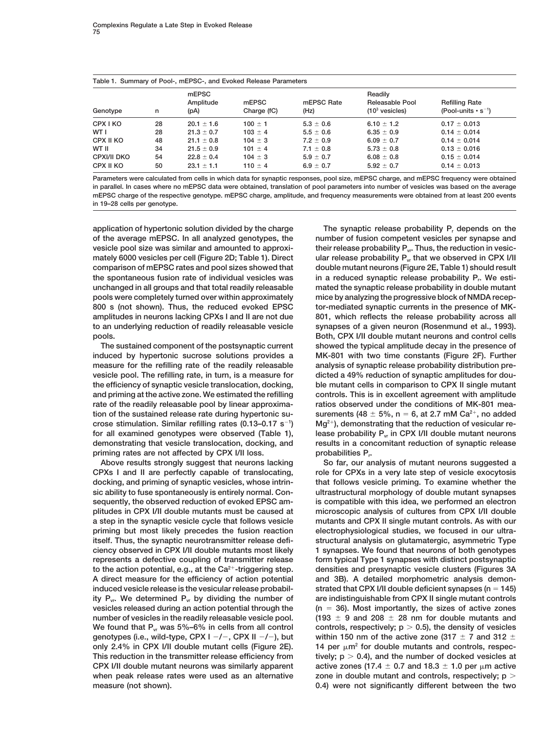| Genotype    | n  | mEPSC<br>Amplitude<br>(pA) | Table 1. Summary of Pool-, mEPSC-, and Evoked Release Parameters<br><b>mEPSC</b><br>Charge (fC) | mEPSC Rate<br>(Hz) | Readily<br>Releasable Pool<br>$(103$ vesicles) | <b>Refilling Rate</b><br>(Pool-units $\cdot$ s <sup>-1</sup> ) |
|-------------|----|----------------------------|-------------------------------------------------------------------------------------------------|--------------------|------------------------------------------------|----------------------------------------------------------------|
| CPX I KO    | 28 | $20.1 \pm 1.6$             | $100 \pm 1$                                                                                     | $5.3 \pm 0.6$      | $6.10 \pm 1.2$                                 | $0.17 \pm 0.013$                                               |
| WT I        | 28 | $21.3 \pm 0.7$             | $103 \pm 4$                                                                                     | $5.5 \pm 0.6$      | $6.35 \pm 0.9$                                 | $0.14 \pm 0.014$                                               |
| CPX II KO   | 48 | $21.1 \pm 0.8$             | $104 \pm 3$                                                                                     | $7.2 \pm 0.9$      | $6.09 \pm 0.7$                                 | $0.14 \pm 0.014$                                               |
| WT II       | 34 | $21.5 \pm 0.9$             | 101 $\pm$ 4                                                                                     | $7.1 \pm 0.8$      | $5.73 \pm 0.8$                                 | $0.13 \pm 0.016$                                               |
| CPXI/II DKO | 54 | $22.8 \pm 0.4$             | $104 \pm 3$                                                                                     | $5.9 \pm 0.7$      | $6.08 \pm 0.8$                                 | $0.15 \pm 0.014$                                               |
| CPX II KO   | 50 | $23.1 \pm 1.1$             | 110 $\pm$ 4                                                                                     | $6.9 \pm 0.7$      | $5.92 \pm 0.7$                                 | $0.14 \pm 0.013$                                               |

**Parameters were calculated from cells in which data for synaptic responses, pool size, mEPSC charge, and mEPSC frequency were obtained in parallel. In cases where no mEPSC data were obtained, translation of pool parameters into number of vesicles was based on the average mEPSC charge of the respective genotype. mEPSC charge, amplitude, and frequency measurements were obtained from at least 200 events in 19–28 cells per genotype.**

**application of hypertonic solution divided by the charge The synaptic release probability Pr depends on the of the average mEPSC. In all analyzed genotypes, the number of fusion competent vesicles per synapse and** vesicle pool size was similar and amounted to approxi-<br>their release probability P<sub>vr</sub>. Thus, the reduction in vesic**mately 6000 vesicles per cell (Figure 2D; Table 1). Direct ular release probability P<sub>vr</sub> that we observed in CPX I/II** comparison of mEPSC rates and pool sizes showed that double mutant neurons (Figure 2E, Table 1) should result **in a reduced synaptic release probability Pr the spontaneous fusion rate of individual vesicles was . We estiunchanged in all groups and that total readily releasable mated the synaptic release probability in double mutant pools were completely turned over within approximately mice by analyzing the progressive block of NMDA recep-800 s (not shown). Thus, the reduced evoked EPSC tor-mediated synaptic currents in the presence of MKamplitudes in neurons lacking CPXs I and II are not due 801, which reflects the release probability across all to an underlying reduction of readily releasable vesicle synapses of a given neuron (Rosenmund et al., 1993). pools. Both, CPX I/II double mutant neurons and control cells**

**induced by hypertonic sucrose solutions provides a MK-801 with two time constants (Figure 2F). Further measure for the refilling rate of the readily releasable analysis of synaptic release probability distribution prevesicle pool. The refilling rate, in turn, is a measure for dicted a 49% reduction of synaptic amplitudes for douthe efficiency of synaptic vesicle translocation, docking, ble mutant cells in comparison to CPX II single mutant and priming at the active zone. We estimated the refilling controls. This is in excellent agreement with amplitude** rate of the readily releasable pool by linear approxima-<br>
ratios observed under the conditions of MK-801 meation of the sustained release rate during hypertonic su-<br>surements  $(48 \pm 5\% , n = 6, at 2.7 \text{ mM Ca}^{2+} ,$  no added crose stimulation. Similar refilling rates (0.13-0.17 s<sup>-1</sup>) for all examined genotypes were observed (Table 1), lease probability P<sub>vr</sub> in CPX I/II double mutant neurons **demonstrating that vesicle translocation, docking, and results in a concomitant reduction of synaptic release** priming rates are not affected by CPX I/II loss. **probabilities P**<sub>r</sub>.

**CPXs I and II are perfectly capable of translocating, role for CPXs in a very late step of vesicle exocytosis docking, and priming of synaptic vesicles, whose intrin- that follows vesicle priming. To examine whether the sic ability to fuse spontaneously is entirely normal. Con- ultrastructural morphology of double mutant synapses sequently, the observed reduction of evoked EPSC am- is compatible with this idea, we performed an electron plitudes in CPX I/II double mutants must be caused at microscopic analysis of cultures from CPX I/II double a step in the synaptic vesicle cycle that follows vesicle mutants and CPX II single mutant controls. As with our priming but most likely precedes the fusion reaction electrophysiological studies, we focused in our ultraitself. Thus, the synaptic neurotransmitter release defi- structural analysis on glutamatergic, asymmetric Type ciency observed in CPX I/II double mutants most likely 1 synapses. We found that neurons of both genotypes represents a defective coupling of transmitter release form typical Type 1 synapses with distinct postsynaptic** to the action potential, e.g., at the Ca<sup>2+</sup>-triggering step. densities and presynaptic vesicle clusters (Figures 3A **A direct measure for the efficiency of action potential and 3B). A detailed morphometric analysis demoninduced vesicle release is the vesicular release probabil- strated that CPX I/II double deficient synapses (n** 5 **145) ity Pvr. We determined Pvr by dividing the number of are indistinguishable from CPX II single mutant controls vesicles released during an action potential through the (n** 5 **36). Most importantly, the sizes of active zones number of vesicles in the readily releasable vesicle pool.** (193  $\pm$  9 and 208  $\pm$  28 nm for double mutants and We found that  $P_{vr}$  was 5%–6% in cells from all control controls, respectively;  $p > 0.5$ ), the density of vesicles genotypes (i.e., wild-type, CPX I  $-/-$ , CPX II  $-/-$ ), but within 150 nm of the active zone (317  $\pm$  7 and 312  $\pm$ only 2.4% in CPX I/II double mutant cells (Figure 2E).  $\qquad 14$  per  $\mu$ m<sup>2</sup> for double mutants and controls, respec-**This reduction in the transmitter release efficiency from tively; p** . **0.4), and the number of docked vesicles at CPX I/II double mutant neurons was similarly apparent active zones (17.4**  $\pm$  **0.7 and 18.3**  $\pm$  **1.0 per**  $\mu$ **m active** when peak release rates were used as an alternative  $\qquad$  zone in double mutant and controls, respectively;  $p >$ **measure (not shown). 0.4) were not significantly different between the two**

**The sustained component of the postsynaptic current showed the typical amplitude decay in the presence of** Mg<sup>2+</sup>), demonstrating that the reduction of vesicular re-

Above results strongly suggest that neurons lacking So far, our analysis of mutant neurons suggested a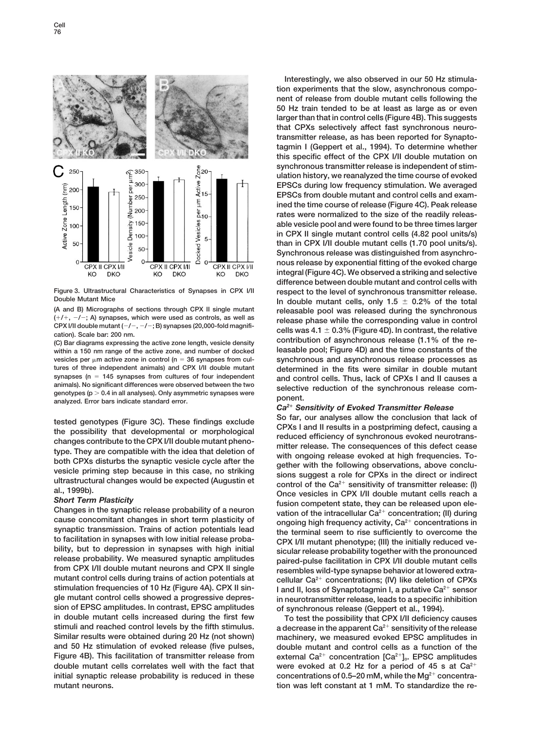

**vesicles per** m**m active zone in control (n** 5 **36 synapses from cul- synchronous and asynchronous release processes as** synapses ( $n = 145$  synapses from cultures of four independent<br>animals). No significant differences were observed between the two<br>genotypes ( $p > 0.4$  in all analyses). Only asymmetric synapses were<br>analyzed. Error bars ind

synaptic transmission. I rains of action potentials lead<br>the terminal seem to rise sufficiently to overcome the<br>to facilitation in synapses with low initial release proba-<br>bility, but to depression in synapses with high in **from CPX I/II double mutant neurons and CPX II single resembles wild-type synapse behavior at lowered extra**mutant control cells during trains of action potentials at cellular Ca<sup>2+</sup> concentrations; (IV) like deletion of CPXs<br>stimulation frequencies of 10 Hz (Figure 4A). CPX II sin-<br>and II. loss of Synaptotagmin L. a putative Ca **stimulation frequencies of 10 Hz (Figure 4A). CPX II sin- I and II, loss of Synaptotagmin I, a putative Ca2**<sup>1</sup> **sensor sion of EPSC amplitudes. In contrast, EPSC amplitudes of synchronous release (Geppert et al., 1994). stimuli and reached control levels by the fifth stimulus. a decrease in the apparent Ca2**<sup>1</sup> **sensitivity of the release Similar results were obtained during 20 Hz (not shown) machinery, we measured evoked EPSC amplitudes in and 50 Hz stimulation of evoked release (five pulses, double mutant and control cells as a function of the Figure 4B). This facilitation of transmitter release from external Ca2**<sup>1</sup> **concentration [Ca2**<sup>1</sup>**]o. EPSC amplitudes double mutant cells correlates well with the fact that were evoked at 0.2 Hz for a period of 45 s at Ca2**<sup>1</sup> initial synaptic release probability is reduced in these concentrations of 0.5–20 mM, while the Mg<sup>2+</sup> concentra**mutant neurons. tion was left constant at 1 mM. To standardize the re-**

**Interestingly, we also observed in our 50 Hz stimulation experiments that the slow, asynchronous component of release from double mutant cells following the 50 Hz train tended to be at least as large as or even larger than that in control cells (Figure 4B). This suggests that CPXs selectively affect fast synchronous neurotransmitter release, as has been reported for Synaptotagmin I (Geppert et al., 1994). To determine whether this specific effect of the CPX I/II double mutation on synchronous transmitter release is independent of stimulation history, we reanalyzed the time course of evoked EPSCs during low frequency stimulation. We averaged EPSCs from double mutant and control cells and examined the time course of release (Figure 4C). Peak release rates were normalized to the size of the readily releasable vesicle pool and were found to be three times larger in CPX II single mutant control cells (4.82 pool units/s) than in CPX I/II double mutant cells (1.70 pool units/s). Synchronous release was distinguished from asynchronous release by exponential fitting of the evoked charge integral (Figure 4C). We observed a striking and selective difference between double mutant and control cells with Figure 3. Ultrastructural Characteristics of Synapses in CPX I/II respect to the level of synchronous transmitter release.**<br>Double Mutant Mice **in the total release.** In double mutant cells, only 1.5 + 0.2% of the tot **Double Mutant Mice**<br>(A and B) Micrographs of sections through CPX II single mutant **Interpret and B** and B) Micrographs of sections through CPX II single mutant **Integraphe pool was released during the synchronous** (A and B) Micrographs of sections through CPX II single mutant<br>  $(+/ +, -/-; A)$  synapses, which were used as controls, as well as<br>
CPX I/II double mutant  $(-/ -, -/ -; B)$  synapses (20,000-fold magnification). Scale bar: 200 nm.<br> **within a 150 nm range of the active zone, and number of docked leasable pool; Figure 4D) and the time constants of the tures of three independent animals) and CPX I/II double mutant determined in the fits were similar in double mutant**

## *Ca2*<sup>1</sup> *Sensitivity of Evoked Transmitter Release*

tested genotypes (Figure 3C). These findings exclude<br>the possibility that developmental or morphological<br>changes contribute to the CPX I/II double mutant pheno-<br>type. They are compatible with the idea that deletion of<br>bot al., 1999b).<br>
Short Term Plasticity<br>
Changes in the synaptic release probability of a neuron<br>
cause concomitant changes in short term plasticity of<br>
synaptic transmission. Trains of action potentials lead<br>
the terminal se **gle mutant control cells showed a progressive depres- in neurotransmitter release, leads to a specific inhibition**

To test the possibility that CPX I/II deficiency causes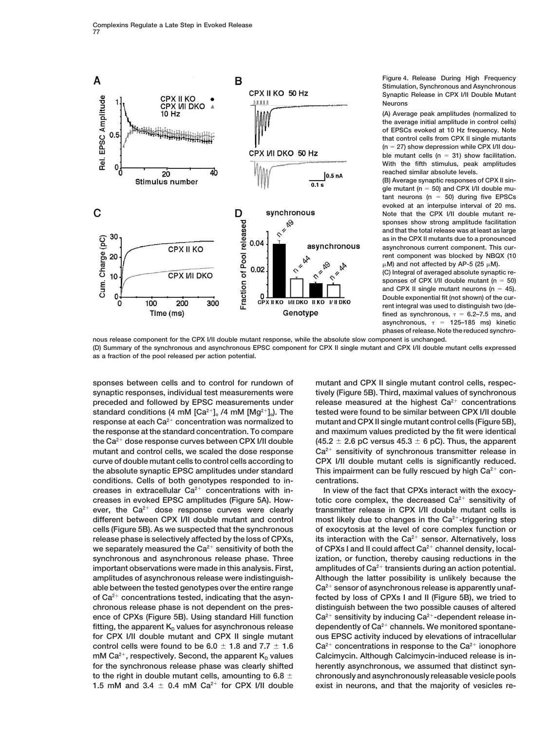

**Figure 4. Release During High Frequency Stimulation, Synchronous and Asynchronous Synaptic Release in CPX I/II Double Mutant Neurons**

**(A) Average peak amplitudes (normalized to the average initial amplitude in control cells) of EPSCs evoked at 10 Hz frequency. Note that control cells from CPX II single mutants (n** 5 **27) show depression while CPX I/II dou**ble mutant cells  $(n = 31)$  show facilitation. **With the fifth stimulus, peak amplitudes reached similar absolute levels.**

**(B) Average synaptic responses of CPX II single mutant (n** 5 **50) and CPX I/II double mu** $tant neurons (n = 50) during five EPSCs$ **evoked at an interpulse interval of 20 ms. Note that the CPX I/II double mutant responses show strong amplitude facilitation and that the total release was at least as large as in the CPX II mutants due to a pronounced asynchronous current component. This current component was blocked by NBQX (10**  $\mu$ **M)** and not affected by AP-5 (25  $\mu$ **M**).

**(C) Integral of averaged absolute synaptic re**sponses of CPX I/II double mutant (n = 50) and CPX II single mutant neurons  $(n = 45)$ . **Double exponential fit (not shown) of the current integral was used to distinguish two (de**fined as synchronous,  $\tau = 6.2 - 7.5$  ms, and **asynchronous,**  $\tau = 125-185$  ms) kinetic **phases of release. Note the reduced synchro-**

**nous release component for the CPX I/II double mutant response, while the absolute slow component is unchanged. (D) Summary of the synchronous and asynchronous EPSC component for CPX II single mutant and CPX I/II double mutant cells expressed as a fraction of the pool released per action potential.**

**synaptic responses, individual test measurements were tively (Figure 5B). Third, maximal values of synchronous preceded and followed by EPSC measurements under release measured at the highest Ca2**<sup>1</sup> **concentrations standard conditions (4 mM [Ca<sup>2+</sup>]<sub>o</sub>** /4 mM [Mg<sup>2+</sup>]<sub>o</sub>). The tested were found to be similar between CPX I/II double **response at each Ca2**<sup>1</sup> **concentration was normalized to mutant and CPX II single mutant control cells (Figure 5B), the response at the standard concentration. To compare and maximum values predicted by the fit were identical the Ca2**<sup>1</sup> **dose response curves between CPX I/II double (45.2** 6 **2.6 pC versus 45.3** 6 **6 pC). Thus, the apparent** mutant and control cells, we scaled the dose response  $Ca^{2+}$  sensitivity of synchronous transmitter release in **curve of double mutant cells to control cells according to CPX I/II double mutant cells is significantly reduced. This impairment can be fully rescued by high Ca2**<sup>1</sup> **the absolute synaptic EPSC amplitudes under standard conconditions. Cells of both genotypes responded to in- centrations.** creases in extracellular Ca<sup>2+</sup> concentrations with in-<br>
In view of the fact that CPXs interact with the exocy**creases in evoked EPSC amplitudes (Figure 5A). How- totic core complex, the decreased Ca2**<sup>1</sup> **sensitivity of ever, the Ca**<sup>2+</sup> dose response curves were clearly transmitter release in CPX I/II double mutant cells is **different between CPX I/II double mutant and control most likely due to changes in the Ca2**<sup>1</sup>**-triggering step cells (Figure 5B). As we suspected that the synchronous of exocytosis at the level of core complex function or** release phase is selectively affected by the loss of CPXs, its interaction with the Ca<sup>2+</sup> sensor. Alternatively, loss we separately measured the Ca<sup>2+</sup> sensitivity of both the of CPXs I and II could affect Ca<sup>2+</sup> channel density, local**synchronous and asynchronous release phase. Three ization, or function, thereby causing reductions in the amplitudes of Ca2**<sup>1</sup> **important observations were made in this analysis. First, transients during an action potential. amplitudes of asynchronous release were indistinguish- Although the latter possibility is unlikely because the** able between the tested genotypes over the entire range  $Ga^{2+}$  sensor of asynchronous release is apparently unaf**of Ca2**<sup>1</sup> **concentrations tested, indicating that the asyn- fected by loss of CPXs I and II (Figure 5B), we tried to chronous release phase is not dependent on the pres- distinguish between the two possible causes of altered** ence of CPXs (Figure 5B). Using standard Hill function Ca<sup>2+</sup> sensitivity by inducing Ca<sup>2+</sup>-dependent release infitting, the apparent K<sub>D</sub> values for asynchronous release dependently of Ca<sup>2+</sup> channels. We monitored spontane**for CPX I/II double mutant and CPX II single mutant ous EPSC activity induced by elevations of intracellular Ca21 control cells were found to be 6.0**  $\pm$  **1.8** and 7.7  $\pm$  **1.6**  $\text{Ca}^{2+}$  concentrations in response to the Ca<sup>2+</sup> ionophore mM Ca<sup>2+</sup>, respectively. Second, the apparent K<sub>D</sub> values Calcimycin. Although Calcimycin-induced release is in**for the synchronous release phase was clearly shifted herently asynchronous, we assumed that distinct syn**to the right in double mutant cells, amounting to  $6.8 \pm$  chronously and asynchronously releasable vesicle pools

**sponses between cells and to control for rundown of mutant and CPX II single mutant control cells, respec-**

**1.5 mM and 3.4**  $\pm$  0.4 mM Ca<sup>2+</sup> for CPX I/II double exist in neurons, and that the majority of vesicles re-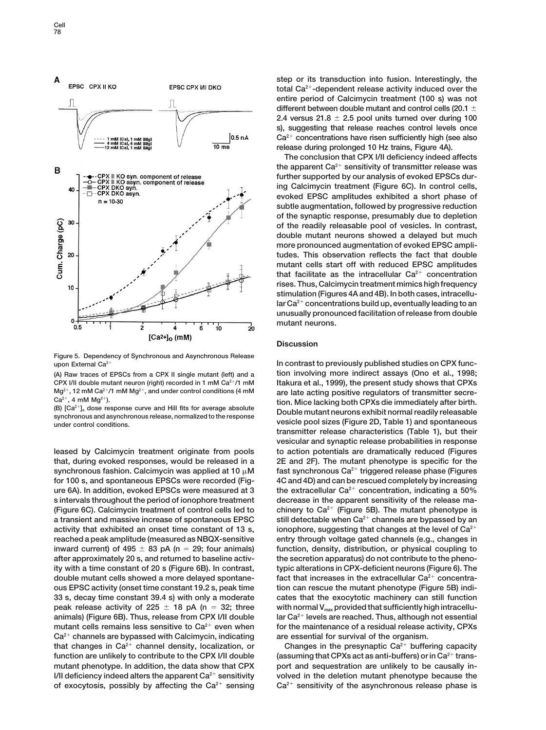

**Figure 5. Dependency of Synchronous and Asynchronous Release**

**CPX I/II double mutant neuron (right) recorded in 1 mM Ca2**<sup>1</sup>**/1 mM Itakura et al., 1999), the present study shows that CPXs** Mg<sup>2+</sup>, 12 mM Ca<sup>2+</sup>/1 mM Mg<sup>2+</sup>, and under control conditions (4 mM **are late acting positive regulators of transmitter secre-**<br>Ca<sup>2+</sup>, 4 mM Mg<sup>2+</sup>).

**that, during evoked responses, would be released in a 2E and 2F). The mutant phenotype is specific for the fact synchronous fashion. Calcimycin was applied at 10** μM **tast synchronous Ca<sup>2+</sup> triggered release phase (Figures**) **for 100 s, and spontaneous EPSCs were recorded (Fig- 4C and 4D) and can be rescued completely by increasing the extracellular Ca2**<sup>1</sup> **ure 6A). In addition, evoked EPSCs were measured at 3 concentration, indicating a 50% s intervals throughout the period of ionophore treatment decrease in the apparent sensitivity of the release machinery to Ca2**<sup>1</sup> **(Figure 6C). Calcimycin treatment of control cells led to (Figure 5B). The mutant phenotype is a transient and massive increase of spontaneous EPSC still detectable when Ca2**<sup>1</sup> **channels are bypassed by an ionophore, suggesting that changes at the level of Ca2**<sup>1</sup> **activity that exhibited an onset time constant of 13 s, reached a peak amplitude (measured as NBQX-sensitive entry through voltage gated channels (e.g., changes in inward current) of 495**  $\pm$  83 pA (n = 29; four animals) function, density, distribution, or physical coupling to **after approximately 20 s, and returned to baseline activ- the secretion apparatus) do not contribute to the phenoity with a time constant of 20 s (Figure 6B). In contrast, typic alterations in CPX-deficient neurons (Figure 6). The double mutant cells showed a more delayed spontane- fact that increases in the extracellular Ca2**<sup>1</sup> **concentraous EPSC activity (onset time constant 19.2 s, peak time tion can rescue the mutant phenotype (Figure 5B) indi-33 s, decay time constant 39.4 s) with only a moderate cates that the exocytotic machinery can still function** peak release activity of 225  $\pm$  18 pA (n = 32; three with normal V<sub>max</sub> provided that sufficiently high intracellu**animals) (Figure 6B). Thus, release from CPX I/II double lar Ca2**<sup>1</sup> **levels are reached. Thus, although not essential** mutant cells remains less sensitive to Ca<sup>2+</sup> even when for the maintenance of a residual release activity, CPXs **Ca2**<sup>1</sup> **channels are bypassed with Calcimycin, indicating are essential for survival of the organism. Changes in Ca**<sup>2+</sup> channel density, localization, or Changes in the presynaptic Ca<sup>2+</sup> buffering capacity function are unlikely to contribute to the CPX I/II double (assuming that CPXs act as anti-buffers) or in Ca<sup>2+</sup> trans**mutant phenotype. In addition, the data show that CPX port and sequestration are unlikely to be causally in-I/II deficiency indeed alters the apparent Ca2**<sup>1</sup> **sensitivity volved in the deletion mutant phenotype because the**

**step or its transduction into fusion. Interestingly, the total Ca2**<sup>1</sup>**-dependent release activity induced over the entire period of Calcimycin treatment (100 s) was not** different between double mutant and control cells  $(20.1 \pm$ 2.4 versus  $21.8 \pm 2.5$  pool units turned over during 100 **s), suggesting that release reaches control levels once Ca2**<sup>1</sup> **concentrations have risen sufficiently high (see also release during prolonged 10 Hz trains, Figure 4A).**

**The conclusion that CPX I/II deficiency indeed affects the apparent Ca2**<sup>1</sup> **sensitivity of transmitter release was further supported by our analysis of evoked EPSCs during Calcimycin treatment (Figure 6C). In control cells, evoked EPSC amplitudes exhibited a short phase of subtle augmentation, followed by progressive reduction of the synaptic response, presumably due to depletion of the readily releasable pool of vesicles. In contrast, double mutant neurons showed a delayed but much more pronounced augmentation of evoked EPSC amplitudes. This observation reflects the fact that double mutant cells start off with reduced EPSC amplitudes that facilitate as the intracellular Ca2**<sup>1</sup> **concentration rises. Thus, Calcimycin treatment mimics high frequency stimulation (Figures 4A and 4B). In both cases, intracellular Ca2**<sup>1</sup> **concentrations build up, eventually leading to an unusually pronounced facilitation of release from double mutant neurons.**

## **Discussion**

**upon External Ca**<sup>2+</sup> **1 In contrast to previously published studies on CPX func-(A) Raw traces of EPSCs from a CPX II single mutant (left) and a tion involving more indirect assays (Ono et al., 1998;**  $\frac{Ca^{2+}}{B}$ , 4 mM Mg<sup>2+</sup>).<br>
(B) [Ca<sup>2+</sup>]<sub>o</sub> dose response curve and Hill fits for average absolute<br>
synchronous release, normalized to the response<br>
under control conditions.<br>
Under control conditions.<br>
Under control co **transmitter release characteristics (Table 1), but their vesicular and synaptic release probabilities in response leased by Calcimycin treatment originate from pools to action potentials are dramatically reduced (Figures**

of exocytosis, possibly by affecting the  $Ca^{2+}$  sensing  $Ca^{2+}$  sensitivity of the asynchronous release phase is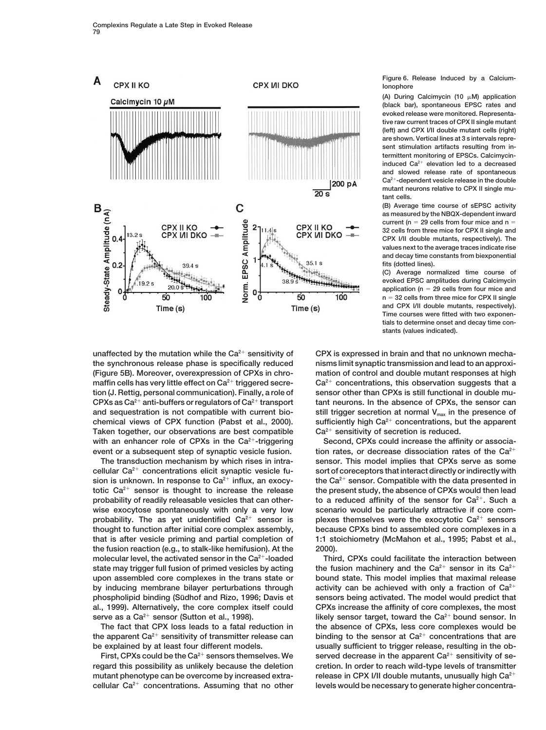

unaffected by the mutation while the Ca<sup>2+</sup> sensitivity of CPX is expressed in brain and that no unknown mecha**the synchronous release phase is specifically reduced nisms limit synaptic transmission and lead to an approxi- (Figure 5B). Moreover, overexpression of CPXs in chro- mation of control and double mutant responses at high** maffin cells has very little effect on Ca<sup>2+</sup> triggered secre-<br>
Ca<sup>2+</sup> concentrations, this observation suggests that a **tion (J. Rettig, personal communication). Finally, a role of sensor other than CPXs is still functional in double mu-CPXs as Ca<sup>2+</sup> anti-buffers or regulators of Ca<sup>2+</sup> transport tantial eurons. In the absence of CPXs, the sensor can** and sequestration is not compatible with current bio-<br>still trigger secretion at normal V<sub>max</sub> in the presence of **sufficiently high Ca2**<sup>1</sup> **chemical views of CPX function (Pabst et al., 2000). concentrations, but the apparent** Taken together, our observations are best compatible Ca<sup>2+</sup> sensitivity of secretion is reduced. with an enhancer role of CPXs in the Ca<sup>2+</sup>-triggering Second, CPXs could increase the affinity or associa-

**cellular Ca2**<sup>1</sup> **concentrations elicit synaptic vesicle fu- sort of coreceptors that interact directly or indirectly with** sion is unknown. In response to Ca<sup>2+</sup> influx, an exocy-<br>the Ca<sup>2+</sup> sensor. Compatible with the data presented in **totic Ca2**<sup>1</sup> **sensor is thought to increase the release the present study, the absence of CPXs would then lead to a reduced affinity of the sensor for Ca2**<sup>1</sup> **probability of readily releasable vesicles that can other- . Such a wise exocytose spontaneously with only a very low scenario would be particularly attractive if core comprobability.** The as yet unidentified Ca<sup>2+</sup> sensor is plexes themselves were the exocytotic Ca<sup>2+</sup> sensors **thought to function after initial core complex assembly, because CPXs bind to assembled core complexes in a that is after vesicle priming and partial completion of 1:1 stoichiometry (McMahon et al., 1995; Pabst et al., the fusion reaction (e.g., to stalk-like hemifusion). At the 2000). molecular level, the activated sensor in the Ca<sup>2+</sup>-loaded Third, CPXs could facilitate the interaction between** state may trigger full fusion of primed vesicles by acting the fusion machinery and the  $Ca^{2+}$  sensor in its  $Ca^{2+}$ **upon assembled core complexes in the trans state or bound state. This model implies that maximal release** by inducing membrane bilayer perturbations through activity can be achieved with only a fraction of  $Ca<sup>2+</sup>$ **phospholipid binding (Su¨ dhof and Rizo, 1996; Davis et sensors being activated. The model would predict that al., 1999). Alternatively, the core complex itself could CPXs increase the affinity of core complexes, the most likely sensor target, toward the Ca2**<sup>1</sup> **serve as a Ca bound sensor. In <sup>2</sup>**<sup>1</sup> **sensor (Sutton et al., 1998).**

the apparent  $Ca^{2+}$  sensitivity of transmitter release can binding to the sensor at  $Ca^{2+}$  concentrations that are

**regard this possibility as unlikely because the deletion cretion. In order to reach wild-type levels of transmitter ratamerage in CPX I/II double mutants, unusually high Ca**<sup>2+</sup> **mutant phenotype can be overcome by increased extra-** *2*<sup>1</sup> **cellular Ca2**<sup>1</sup> **concentrations. Assuming that no other levels would be necessary to generate higher concentra-**

**Figure 6. Release Induced by a Calcium-Ionophore**

**(A) During Calcimycin (10 µM) application (black bar), spontaneous EPSC rates and evoked release were monitored. Representative raw current traces of CPX II single mutant (left) and CPX I/II double mutant cells (right) are shown. Vertical lines at 3 s intervals represent stimulation artifacts resulting from intermittent monitoring of EPSCs. Calcimycininduced Ca2**<sup>1</sup> **elevation led to a decreased and slowed release rate of spontaneous Ca2**<sup>1</sup>**-dependent vesicle release in the double mutant neurons relative to CPX II single mutant cells.**

**(B) Average time course of sEPSC activity as measured by the NBQX-dependent inward** current ( $n = 29$  cells from four mice and  $n =$ **32 cells from three mice for CPX II single and CPX I/II double mutants, respectively). The values next to the average traces indicate rise and decay time constants from biexponential fits (dotted lines).**

**(C) Average normalized time course of evoked EPSC amplitudes during Calcimycin application (n** 5 **29 cells from four mice and n** 5 **32 cells from three mice for CPX II single and CPX I/II double mutants, respectively). Time courses were fitted with two exponentials to determine onset and decay time constants (values indicated).**

event or a subsequent step of synaptic vesicle fusion.  $\qquad$  tion rates, or decrease dissociation rates of the  $Ca^{2+}$ **The transduction mechanism by which rises in intra- sensor. This model implies that CPXs serve as some**

**The fact that CPX loss leads to a fatal reduction in the absence of CPXs, less core complexes would be** be explained by at least four different models. **usually sufficient to trigger release**, resulting in the ob-**First, CPXs could be the Ca<sup>2+</sup> sensors themselves. We served decrease in the apparent Ca<sup>2+</sup> sensitivity of se-**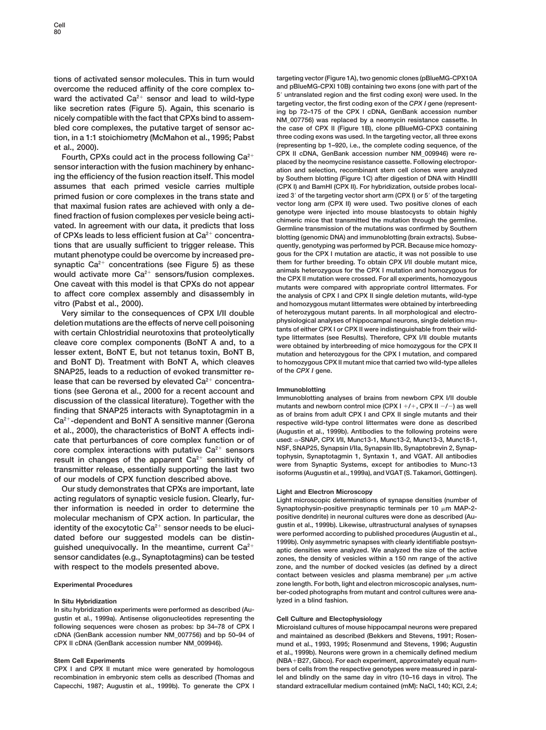**tions of activated sensor molecules. This in turn would** targeting vector (Figure 1A), two genomic clones (pBlueMG-CPX10A<br>
overcome the reduced affinity of the core complex to-<br>
and pBlueMG-CPX110B) containing two exons ( overcome the reduced affinity of the core complex to-<br>ward the activated Ca<sup>2+</sup> sensor and lead to wild-type<br>like secretion rates (Figure 5). Again, this scenario is<br>night precise the CPX leads to the CPX leads to the CPX **bled core complexes, the putative target of sensor ac- the case of CPX II (Figure 1B), clone pBlueMG-CPX3 containing tion, in a 1:1 stoichiometry (McMahon et al., 1995; Pabst three coding exons was used. In the targeting vector, all three exons**

**placed by the neomycine resistance cassette. Following electropor- sensor interaction with the fusion machinery by enhanc- ation and selection, recombinant stem cell clones were analyzed ing the efficiency of the fusion reaction itself. This model by Southern blotting (Figure 1C) after digestion of DNA with HindIII assumes that each primed vesicle carries multiple (CPX I) and BamHI (CPX II). For hybridization, outside probes localprimed fusion or core complexes in the trans state and** ized 3' of the targeting vector short arm (CPX I) or 5' of the targeting<br>that maximal fusion rates are achieved with only a de-<br>wector long arm (CPX II) were used. T that maximal fusion rates are achieved with only a de-<br>fined fraction of fusion complexes per vesicle being acti-<br>vated. In agreement with our data, it predicts that loss<br>vated. In agreement with our data, it predicts that **of CPXs leads to less efficient fusion at Ca2**<sup>1</sup> **concentra- blotting (genomic DNA) and immunoblotting (brain extracts). Subse**tions that are usually sufficient to trigger release. This quently, genotyping was performed by PCR. Because mice homozy-<br>
mutant phenotype could be overcome by increased pre-<br>
gous for the CPX I mutation are atactic, it w **mutant phenotype could be overcome by increased pre- gous for the CPX I mutation are atactic, it was not possible to use** synaptic  $Ca^{2+}$  concentrations (see Figure 5) as these them for further breeding. To obtain CPX I/II double mutant mice,<br>would activate more  $Ca^{2+}$  sensors/fusion complexes.<br>One caveat with this model is that CPXs do no **to affect core complex assembly and disassembly in** the analysis of CPX I and CPX II single deletion mutants, wild-type<br>
vitro (Pabst et al., 2000).

deletion mutations are the effects of nerve cell poisoning<br>with certain Chlostridial neurotoxins that proteolytically<br>cleave core complex components (BoNT A and, to a<br>lesser extent, BoNT E, but not tetanus toxin, BoNT B,<br>m **and BoNT D). Treatment with BoNT A, which cleaves to homozygous CPX II mutant mice that carried two wild-type alleles SNAP25, leads to a reduction of evoked transmitter re- of the** *CPX I* **gene.** lease that can be reversed by elevated Ca<sup>2+</sup> concentrations (see Gerona et al., 2000 for a recent account and<br>discussion of the classical literature). Together with the<br>finding analyses of brains from newborn CPX I/II double<br>finding that SNAP25 interacts with Synaptotagmin i Ca<sup>2+</sup>-dependent and BoNT A sensitive manner (Gerona<br> **respective wild-type control littermates were done as described**<br>
et al., 2000), the characteristics of BoNT A effects indi-<br>
(Augustin et al., 1999b). Antibodies to t **cate that perturbances of core complex function or of used:** a**-SNAP, CPX I/II, Munc13-1, Munc13-2, Munc13-3, Munc18-1, Core complex interactions with putative Ca<sup>2+</sup> sensors** NSF, SNAP25, Synapsin I/IIa, Synapsin IIb, Synaptobrevin 2, Synaptore complex in changes of the apparent Ca<sup>2+</sup> sensitivity of the tophysin, Synaptotagmin 1, Syntaxi result in changes of the apparent Ca<sup>2+</sup> sensitivity of<br>transmitter release, essentially supporting the last two<br>of our models of CPX function described above.<br>of our models of CPX function described above.

**Our study demonstrates that CPXs are important, late Light and Electron Microscopy ther information is needed in order to determine the** Synaptophysin-positive presynaptic terminals per 10  $\mu$ m MAP-2-<br>molecular mechanism of CPX action. In particular, the positive dendritel in neuronal cultures were don molecular mechanism of CPX action. In particular, the positive dendrite) in neuronal cultures were done as described (Au-<br>
identity of the expositatio Ca<sup>2+</sup> sensor needs to be eluci- gustin et al., 1999b). Likewise, ultra **identity of the exocytotic Ca**<sup>2+</sup> sensor needs to be eluci-<br>
were performed according to published procedures (Augustin et al., dated before our suggested models can be distin-<br>guished unequivocally. In the meantime, current  $Ca^{2+}$  ap9b). Only asymmetric synapses with clearly identifiable postsyn-<br>aptic densities were analyzed. We analyzed the si **sensor candidates (e.g., Synaptotagmins) can be tested zones, the density of vesicles within a 150 nm range of the active with respect to the models presented above. zone, and the number of docked vesicles (as defined by a direct**

**In situ hybridization experiments were performed as described (Augustin et al., 1999a). Antisense oligonucleotides representing the Cell Culture and Electophysiology following sequences were chosen as probes: bp 34–78 of CPX I Microisland cultures of mouse hippocampal neurons were prepared cDNA (GenBank accession number NM\_007756) and bp 50–94 of and maintained as described (Bekkers and Stevens, 1991; Rosen-**

**recombination in embryonic stem cells as described (Thomas and lel and blindly on the same day in vitro (10–16 days in vitro). The Capecchi, 1987; Augustin et al., 1999b). To generate the CPX I standard extracellular medium contained (mM): NaCl, 140; KCl, 2.4;**

**NM\_007756) was replaced by a neomycin resistance cassette. In** et al., 2000).<br>Fourth, CPXs could act in the process following Ca<sup>2+</sup> <sup>CPX II</sup> cDNA, GenBank accession number NM\_009946) were re-<br>placed by the neomycine resistance cassette. Following electropor-<br>placed by the neomycine r and homozygous mutant littermates were obtained by interbreeding **Very similar to the consequences of CPX I/II double of heterozygous mutant parents. In all morphological and electro**mutation and heterozygous for the CPX I mutation, and compared

(Augustin et al., 1999b). Antibodies to the following proteins were

Light microscopic determinations of synapse densities (number of contact between vesicles and plasma membrane) per  $\mu$ m active **Experimental Procedures zone length. For both, light and electron microscopic analyses, number-coded photographs from mutant and control cultures were analyzed in a blind fashion. In Situ Hybridization**

**CPX II cDNA (GenBank accession number NM\_009946). mund et al., 1993, 1995; Rosenmund and Stevens, 1996; Augustin et al., 1999b). Neurons were grown in a chemically defined medium Stem Cell Experiments (NBA**+B27, Gibco). For each experiment, approximately equal num-**CPX I and CPX II mutant mice were generated by homologous bers of cells from the respective genotypes were measured in paral-**